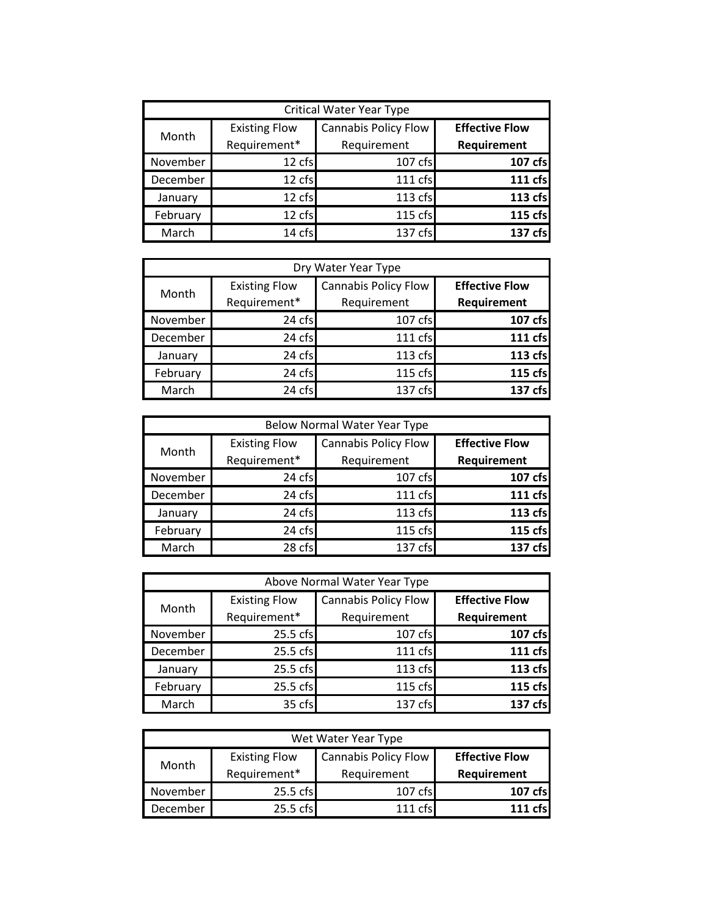| <b>Critical Water Year Type</b> |                                      |                                            |                                      |
|---------------------------------|--------------------------------------|--------------------------------------------|--------------------------------------|
| Month                           | <b>Existing Flow</b><br>Requirement* | <b>Cannabis Policy Flow</b><br>Requirement | <b>Effective Flow</b><br>Requirement |
| November                        | 12 cfs                               | 107 cfs                                    | 107 cfs                              |
| December                        | 12 cfs                               | 111 cfs                                    | 111 cfs                              |
| January                         | 12 cfs                               | 113 cfs                                    | 113 cfs                              |
| February                        | 12 cfs                               | 115 cfs                                    | 115 cfs                              |
| March                           | 14 cfs                               | 137 cfs                                    | 137 cfs                              |

| Dry Water Year Type |                      |                             |                       |
|---------------------|----------------------|-----------------------------|-----------------------|
| Month               | <b>Existing Flow</b> | <b>Cannabis Policy Flow</b> | <b>Effective Flow</b> |
|                     | Requirement*         | Requirement                 | Requirement           |
| November            | 24 cfs               | 107 cfs                     | 107 cfs               |
| December            | 24 cfs               | 111 cfs                     | 111 cfs               |
| January             | 24 cfs               | 113 cfs                     | 113 cfs               |
| February            | 24 cfs               | 115 cfs                     | 115 cfs               |
| March               | 24 cfs               | 137 cfs                     | 137 cfs               |

| <b>Below Normal Water Year Type</b> |                      |                             |                       |
|-------------------------------------|----------------------|-----------------------------|-----------------------|
| Month                               | <b>Existing Flow</b> | <b>Cannabis Policy Flow</b> | <b>Effective Flow</b> |
|                                     | Requirement*         | Requirement                 | Requirement           |
| November                            | 24 cfs               | 107 cfs                     | 107 cfs               |
| December                            | 24 cfs               | 111 cfs                     | 111 cfs               |
| January                             | 24 cfs               | 113 cfs                     | 113 cfs               |
| February                            | 24 cfs               | 115 cfs                     | 115 cfs               |
| March                               | 28 cfs               | 137 cfs                     | 137 cfs               |

| Above Normal Water Year Type |                      |                             |                       |
|------------------------------|----------------------|-----------------------------|-----------------------|
| Month                        | <b>Existing Flow</b> | <b>Cannabis Policy Flow</b> | <b>Effective Flow</b> |
|                              | Requirement*         | Requirement                 | Requirement           |
| November                     | 25.5 cfs             | 107 cfs                     | 107 cfs               |
| December                     | 25.5 cfs             | 111 cfs                     | 111 cfs               |
| January                      | 25.5 cfs             | 113 cfs                     | 113 cfs               |
| February                     | 25.5 cfs             | 115 cfs                     | 115 cfs               |
| March                        | 35 cfs               | 137 cfs                     | 137 cfs               |

| Wet Water Year Type |                      |                      |                       |
|---------------------|----------------------|----------------------|-----------------------|
| Month               | <b>Existing Flow</b> | Cannabis Policy Flow | <b>Effective Flow</b> |
|                     | Requirement*         | Requirement          | Requirement           |
| November            | 25.5 cfs             | 107 cfs              | 107 cfs               |
| December            | 25.5 cfs             | $111 \text{ cfs}$    | 111 $rfc$             |